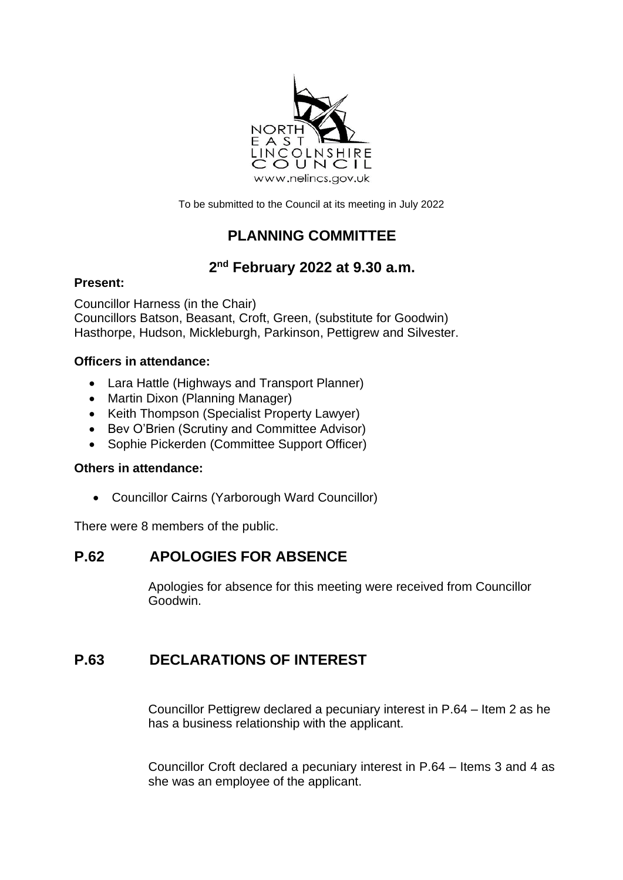

To be submitted to the Council at its meeting in July 2022

# **PLANNING COMMITTEE**

## **2 nd February 2022 at 9.30 a.m.**

#### **Present:**

Councillor Harness (in the Chair) Councillors Batson, Beasant, Croft, Green, (substitute for Goodwin) Hasthorpe, Hudson, Mickleburgh, Parkinson, Pettigrew and Silvester.

#### **Officers in attendance:**

- Lara Hattle (Highways and Transport Planner)
- Martin Dixon (Planning Manager)
- Keith Thompson (Specialist Property Lawyer)
- Bev O'Brien (Scrutiny and Committee Advisor)
- Sophie Pickerden (Committee Support Officer)

#### **Others in attendance:**

• Councillor Cairns (Yarborough Ward Councillor)

There were 8 members of the public.

### **P.62 APOLOGIES FOR ABSENCE**

Apologies for absence for this meeting were received from Councillor Goodwin.

### **P.63 DECLARATIONS OF INTEREST**

Councillor Pettigrew declared a pecuniary interest in P.64 – Item 2 as he has a business relationship with the applicant.

Councillor Croft declared a pecuniary interest in P.64 – Items 3 and 4 as she was an employee of the applicant.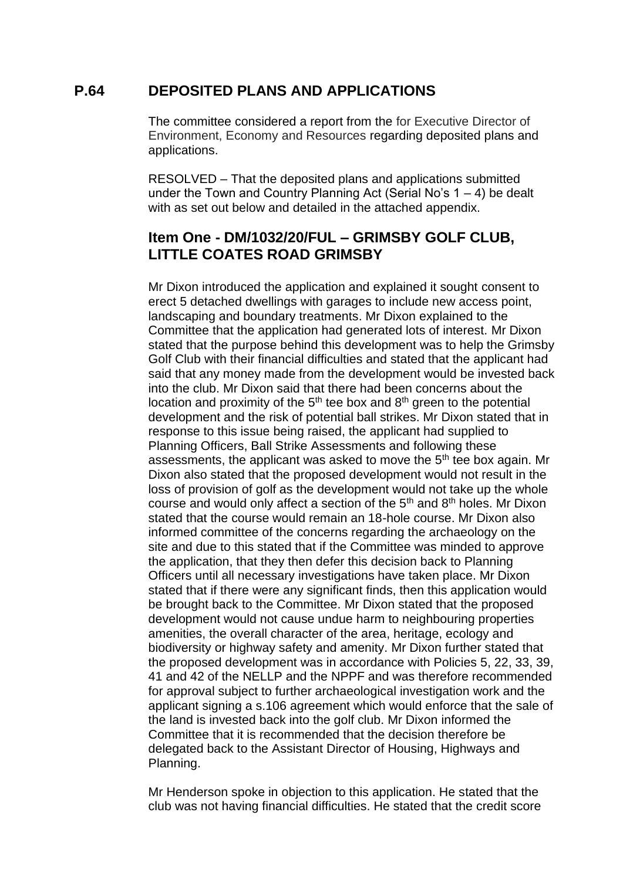#### **P.64 DEPOSITED PLANS AND APPLICATIONS**

The committee considered a report from the for Executive Director of Environment, Economy and Resources regarding deposited plans and applications.

RESOLVED – That the deposited plans and applications submitted under the Town and Country Planning Act (Serial No's 1 – 4) be dealt with as set out below and detailed in the attached appendix.

#### **Item One - DM/1032/20/FUL – GRIMSBY GOLF CLUB, LITTLE COATES ROAD GRIMSBY**

Mr Dixon introduced the application and explained it sought consent to erect 5 detached dwellings with garages to include new access point, landscaping and boundary treatments. Mr Dixon explained to the Committee that the application had generated lots of interest. Mr Dixon stated that the purpose behind this development was to help the Grimsby Golf Club with their financial difficulties and stated that the applicant had said that any money made from the development would be invested back into the club. Mr Dixon said that there had been concerns about the location and proximity of the  $5<sup>th</sup>$  tee box and  $8<sup>th</sup>$  green to the potential development and the risk of potential ball strikes. Mr Dixon stated that in response to this issue being raised, the applicant had supplied to Planning Officers, Ball Strike Assessments and following these assessments, the applicant was asked to move the 5<sup>th</sup> tee box again. Mr Dixon also stated that the proposed development would not result in the loss of provision of golf as the development would not take up the whole course and would only affect a section of the 5<sup>th</sup> and 8<sup>th</sup> holes. Mr Dixon stated that the course would remain an 18-hole course. Mr Dixon also informed committee of the concerns regarding the archaeology on the site and due to this stated that if the Committee was minded to approve the application, that they then defer this decision back to Planning Officers until all necessary investigations have taken place. Mr Dixon stated that if there were any significant finds, then this application would be brought back to the Committee. Mr Dixon stated that the proposed development would not cause undue harm to neighbouring properties amenities, the overall character of the area, heritage, ecology and biodiversity or highway safety and amenity. Mr Dixon further stated that the proposed development was in accordance with Policies 5, 22, 33, 39, 41 and 42 of the NELLP and the NPPF and was therefore recommended for approval subject to further archaeological investigation work and the applicant signing a s.106 agreement which would enforce that the sale of the land is invested back into the golf club. Mr Dixon informed the Committee that it is recommended that the decision therefore be delegated back to the Assistant Director of Housing, Highways and Planning.

Mr Henderson spoke in objection to this application. He stated that the club was not having financial difficulties. He stated that the credit score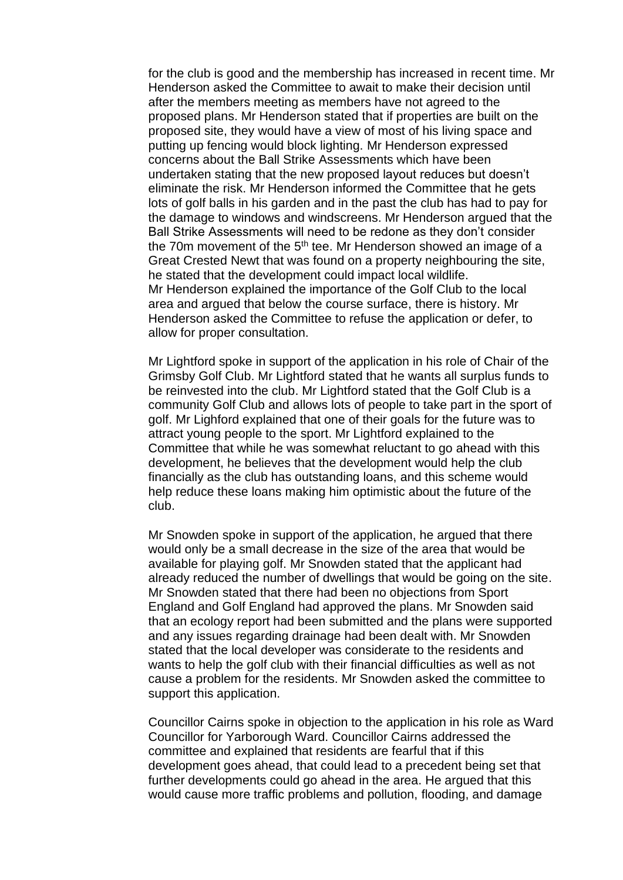for the club is good and the membership has increased in recent time. Mr Henderson asked the Committee to await to make their decision until after the members meeting as members have not agreed to the proposed plans. Mr Henderson stated that if properties are built on the proposed site, they would have a view of most of his living space and putting up fencing would block lighting. Mr Henderson expressed concerns about the Ball Strike Assessments which have been undertaken stating that the new proposed layout reduces but doesn't eliminate the risk. Mr Henderson informed the Committee that he gets lots of golf balls in his garden and in the past the club has had to pay for the damage to windows and windscreens. Mr Henderson argued that the Ball Strike Assessments will need to be redone as they don't consider the 70m movement of the  $5<sup>th</sup>$  tee. Mr Henderson showed an image of a Great Crested Newt that was found on a property neighbouring the site, he stated that the development could impact local wildlife. Mr Henderson explained the importance of the Golf Club to the local area and argued that below the course surface, there is history. Mr Henderson asked the Committee to refuse the application or defer, to allow for proper consultation.

Mr Lightford spoke in support of the application in his role of Chair of the Grimsby Golf Club. Mr Lightford stated that he wants all surplus funds to be reinvested into the club. Mr Lightford stated that the Golf Club is a community Golf Club and allows lots of people to take part in the sport of golf. Mr Lighford explained that one of their goals for the future was to attract young people to the sport. Mr Lightford explained to the Committee that while he was somewhat reluctant to go ahead with this development, he believes that the development would help the club financially as the club has outstanding loans, and this scheme would help reduce these loans making him optimistic about the future of the club.

Mr Snowden spoke in support of the application, he argued that there would only be a small decrease in the size of the area that would be available for playing golf. Mr Snowden stated that the applicant had already reduced the number of dwellings that would be going on the site. Mr Snowden stated that there had been no objections from Sport England and Golf England had approved the plans. Mr Snowden said that an ecology report had been submitted and the plans were supported and any issues regarding drainage had been dealt with. Mr Snowden stated that the local developer was considerate to the residents and wants to help the golf club with their financial difficulties as well as not cause a problem for the residents. Mr Snowden asked the committee to support this application.

Councillor Cairns spoke in objection to the application in his role as Ward Councillor for Yarborough Ward. Councillor Cairns addressed the committee and explained that residents are fearful that if this development goes ahead, that could lead to a precedent being set that further developments could go ahead in the area. He argued that this would cause more traffic problems and pollution, flooding, and damage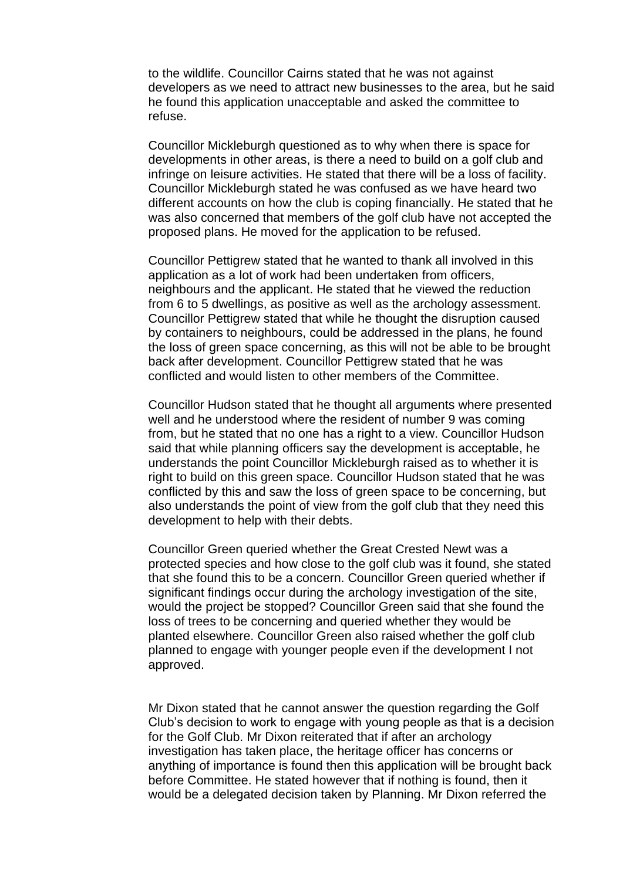to the wildlife. Councillor Cairns stated that he was not against developers as we need to attract new businesses to the area, but he said he found this application unacceptable and asked the committee to refuse.

Councillor Mickleburgh questioned as to why when there is space for developments in other areas, is there a need to build on a golf club and infringe on leisure activities. He stated that there will be a loss of facility. Councillor Mickleburgh stated he was confused as we have heard two different accounts on how the club is coping financially. He stated that he was also concerned that members of the golf club have not accepted the proposed plans. He moved for the application to be refused.

Councillor Pettigrew stated that he wanted to thank all involved in this application as a lot of work had been undertaken from officers, neighbours and the applicant. He stated that he viewed the reduction from 6 to 5 dwellings, as positive as well as the archology assessment. Councillor Pettigrew stated that while he thought the disruption caused by containers to neighbours, could be addressed in the plans, he found the loss of green space concerning, as this will not be able to be brought back after development. Councillor Pettigrew stated that he was conflicted and would listen to other members of the Committee.

Councillor Hudson stated that he thought all arguments where presented well and he understood where the resident of number 9 was coming from, but he stated that no one has a right to a view. Councillor Hudson said that while planning officers say the development is acceptable, he understands the point Councillor Mickleburgh raised as to whether it is right to build on this green space. Councillor Hudson stated that he was conflicted by this and saw the loss of green space to be concerning, but also understands the point of view from the golf club that they need this development to help with their debts.

Councillor Green queried whether the Great Crested Newt was a protected species and how close to the golf club was it found, she stated that she found this to be a concern. Councillor Green queried whether if significant findings occur during the archology investigation of the site, would the project be stopped? Councillor Green said that she found the loss of trees to be concerning and queried whether they would be planted elsewhere. Councillor Green also raised whether the golf club planned to engage with younger people even if the development I not approved.

Mr Dixon stated that he cannot answer the question regarding the Golf Club's decision to work to engage with young people as that is a decision for the Golf Club. Mr Dixon reiterated that if after an archology investigation has taken place, the heritage officer has concerns or anything of importance is found then this application will be brought back before Committee. He stated however that if nothing is found, then it would be a delegated decision taken by Planning. Mr Dixon referred the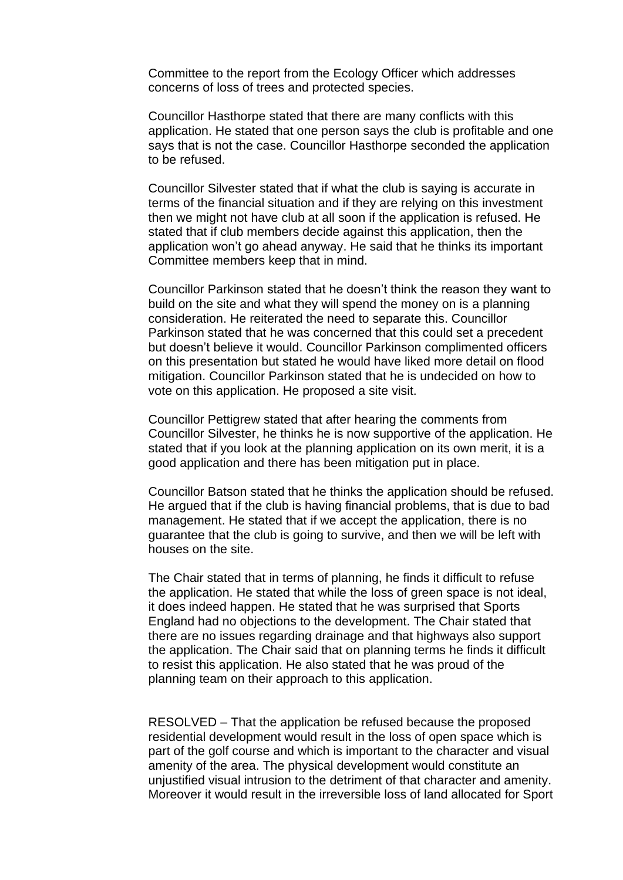Committee to the report from the Ecology Officer which addresses concerns of loss of trees and protected species.

Councillor Hasthorpe stated that there are many conflicts with this application. He stated that one person says the club is profitable and one says that is not the case. Councillor Hasthorpe seconded the application to be refused.

Councillor Silvester stated that if what the club is saying is accurate in terms of the financial situation and if they are relying on this investment then we might not have club at all soon if the application is refused. He stated that if club members decide against this application, then the application won't go ahead anyway. He said that he thinks its important Committee members keep that in mind.

Councillor Parkinson stated that he doesn't think the reason they want to build on the site and what they will spend the money on is a planning consideration. He reiterated the need to separate this. Councillor Parkinson stated that he was concerned that this could set a precedent but doesn't believe it would. Councillor Parkinson complimented officers on this presentation but stated he would have liked more detail on flood mitigation. Councillor Parkinson stated that he is undecided on how to vote on this application. He proposed a site visit.

Councillor Pettigrew stated that after hearing the comments from Councillor Silvester, he thinks he is now supportive of the application. He stated that if you look at the planning application on its own merit, it is a good application and there has been mitigation put in place.

Councillor Batson stated that he thinks the application should be refused. He argued that if the club is having financial problems, that is due to bad management. He stated that if we accept the application, there is no guarantee that the club is going to survive, and then we will be left with houses on the site.

The Chair stated that in terms of planning, he finds it difficult to refuse the application. He stated that while the loss of green space is not ideal, it does indeed happen. He stated that he was surprised that Sports England had no objections to the development. The Chair stated that there are no issues regarding drainage and that highways also support the application. The Chair said that on planning terms he finds it difficult to resist this application. He also stated that he was proud of the planning team on their approach to this application.

RESOLVED – That the application be refused because the proposed residential development would result in the loss of open space which is part of the golf course and which is important to the character and visual amenity of the area. The physical development would constitute an unjustified visual intrusion to the detriment of that character and amenity. Moreover it would result in the irreversible loss of land allocated for Sport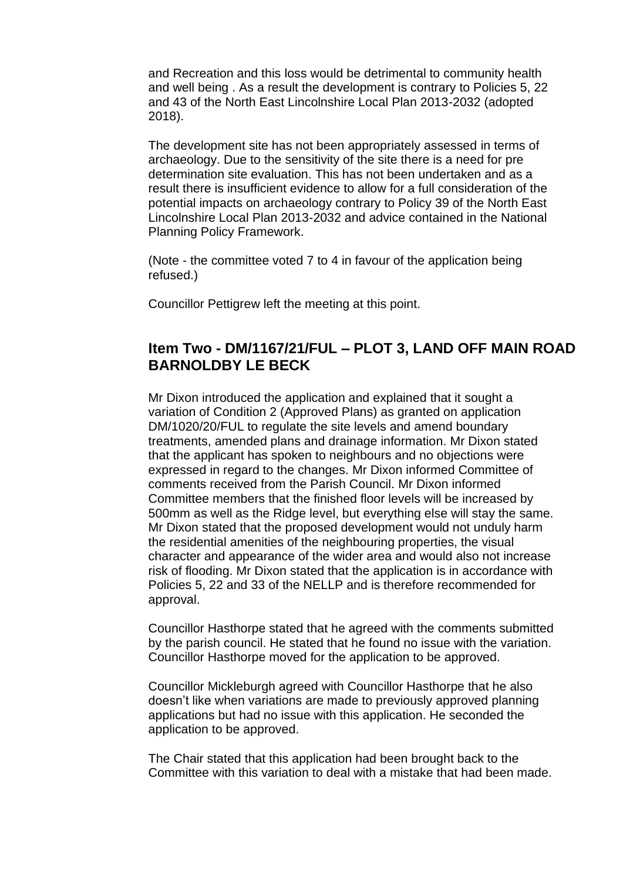and Recreation and this loss would be detrimental to community health and well being . As a result the development is contrary to Policies 5, 22 and 43 of the North East Lincolnshire Local Plan 2013-2032 (adopted 2018).

The development site has not been appropriately assessed in terms of archaeology. Due to the sensitivity of the site there is a need for pre determination site evaluation. This has not been undertaken and as a result there is insufficient evidence to allow for a full consideration of the potential impacts on archaeology contrary to Policy 39 of the North East Lincolnshire Local Plan 2013-2032 and advice contained in the National Planning Policy Framework.

(Note - the committee voted 7 to 4 in favour of the application being refused.)

Councillor Pettigrew left the meeting at this point.

#### **Item Two - DM/1167/21/FUL – PLOT 3, LAND OFF MAIN ROAD BARNOLDBY LE BECK**

Mr Dixon introduced the application and explained that it sought a variation of Condition 2 (Approved Plans) as granted on application DM/1020/20/FUL to regulate the site levels and amend boundary treatments, amended plans and drainage information. Mr Dixon stated that the applicant has spoken to neighbours and no objections were expressed in regard to the changes. Mr Dixon informed Committee of comments received from the Parish Council. Mr Dixon informed Committee members that the finished floor levels will be increased by 500mm as well as the Ridge level, but everything else will stay the same. Mr Dixon stated that the proposed development would not unduly harm the residential amenities of the neighbouring properties, the visual character and appearance of the wider area and would also not increase risk of flooding. Mr Dixon stated that the application is in accordance with Policies 5, 22 and 33 of the NELLP and is therefore recommended for approval.

Councillor Hasthorpe stated that he agreed with the comments submitted by the parish council. He stated that he found no issue with the variation. Councillor Hasthorpe moved for the application to be approved.

Councillor Mickleburgh agreed with Councillor Hasthorpe that he also doesn't like when variations are made to previously approved planning applications but had no issue with this application. He seconded the application to be approved.

The Chair stated that this application had been brought back to the Committee with this variation to deal with a mistake that had been made.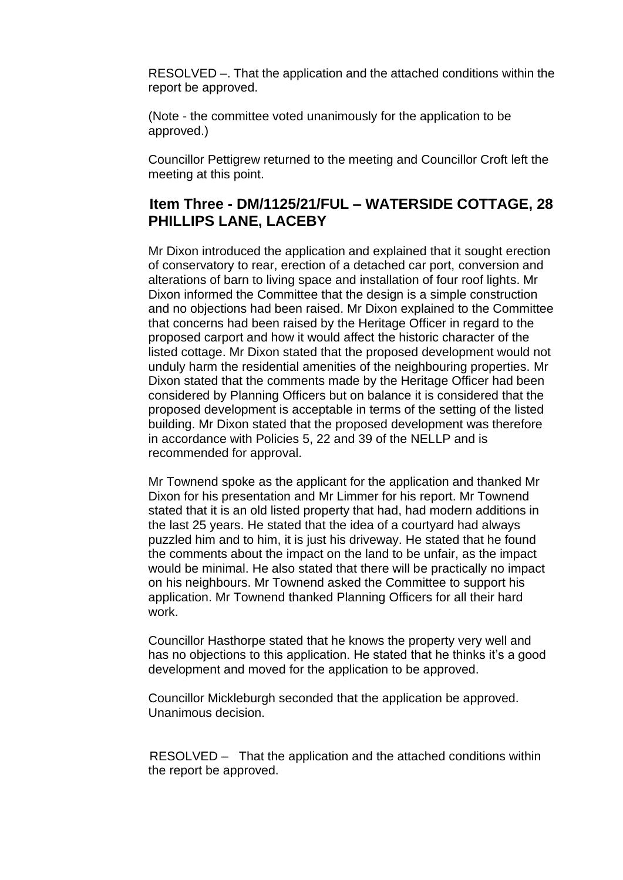RESOLVED –. That the application and the attached conditions within the report be approved.

(Note - the committee voted unanimously for the application to be approved.)

Councillor Pettigrew returned to the meeting and Councillor Croft left the meeting at this point.

#### **Item Three - DM/1125/21/FUL – WATERSIDE COTTAGE, 28 PHILLIPS LANE, LACEBY**

Mr Dixon introduced the application and explained that it sought erection of conservatory to rear, erection of a detached car port, conversion and alterations of barn to living space and installation of four roof lights. Mr Dixon informed the Committee that the design is a simple construction and no objections had been raised. Mr Dixon explained to the Committee that concerns had been raised by the Heritage Officer in regard to the proposed carport and how it would affect the historic character of the listed cottage. Mr Dixon stated that the proposed development would not unduly harm the residential amenities of the neighbouring properties. Mr Dixon stated that the comments made by the Heritage Officer had been considered by Planning Officers but on balance it is considered that the proposed development is acceptable in terms of the setting of the listed building. Mr Dixon stated that the proposed development was therefore in accordance with Policies 5, 22 and 39 of the NELLP and is recommended for approval.

Mr Townend spoke as the applicant for the application and thanked Mr Dixon for his presentation and Mr Limmer for his report. Mr Townend stated that it is an old listed property that had, had modern additions in the last 25 years. He stated that the idea of a courtyard had always puzzled him and to him, it is just his driveway. He stated that he found the comments about the impact on the land to be unfair, as the impact would be minimal. He also stated that there will be practically no impact on his neighbours. Mr Townend asked the Committee to support his application. Mr Townend thanked Planning Officers for all their hard work.

Councillor Hasthorpe stated that he knows the property very well and has no objections to this application. He stated that he thinks it's a good development and moved for the application to be approved.

Councillor Mickleburgh seconded that the application be approved. Unanimous decision.

RESOLVED – That the application and the attached conditions within the report be approved.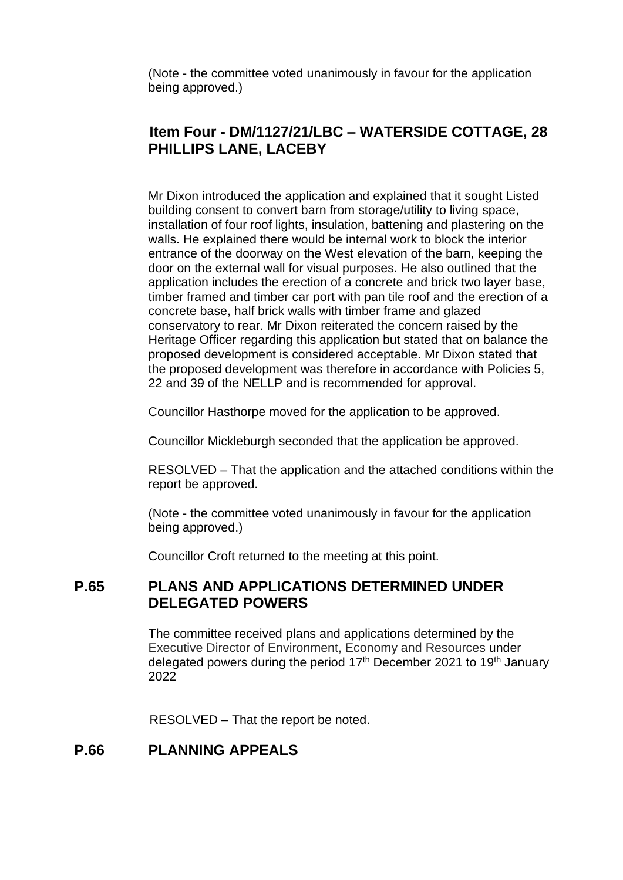(Note - the committee voted unanimously in favour for the application being approved.)

### **Item Four - DM/1127/21/LBC – WATERSIDE COTTAGE, 28 PHILLIPS LANE, LACEBY**

Mr Dixon introduced the application and explained that it sought Listed building consent to convert barn from storage/utility to living space, installation of four roof lights, insulation, battening and plastering on the walls. He explained there would be internal work to block the interior entrance of the doorway on the West elevation of the barn, keeping the door on the external wall for visual purposes. He also outlined that the application includes the erection of a concrete and brick two layer base, timber framed and timber car port with pan tile roof and the erection of a concrete base, half brick walls with timber frame and glazed conservatory to rear. Mr Dixon reiterated the concern raised by the Heritage Officer regarding this application but stated that on balance the proposed development is considered acceptable. Mr Dixon stated that the proposed development was therefore in accordance with Policies 5, 22 and 39 of the NELLP and is recommended for approval.

Councillor Hasthorpe moved for the application to be approved.

Councillor Mickleburgh seconded that the application be approved.

RESOLVED – That the application and the attached conditions within the report be approved.

(Note - the committee voted unanimously in favour for the application being approved.)

Councillor Croft returned to the meeting at this point.

#### **P.65 PLANS AND APPLICATIONS DETERMINED UNDER DELEGATED POWERS**

The committee received plans and applications determined by the Executive Director of Environment, Economy and Resources under delegated powers during the period 17<sup>th</sup> December 2021 to 19<sup>th</sup> January 2022

RESOLVED – That the report be noted.

#### **P.66 PLANNING APPEALS**